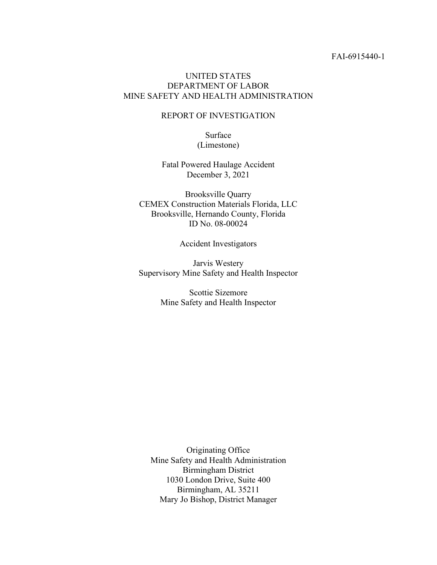## UNITED STATES DEPARTMENT OF LABOR MINE SAFETY AND HEALTH ADMINISTRATION

#### REPORT OF INVESTIGATION

Surface (Limestone)

Fatal Powered Haulage Accident December 3, 2021

Brooksville Quarry CEMEX Construction Materials Florida, LLC Brooksville, Hernando County, Florida ID No. 08-00024

Accident Investigators

Jarvis Westery Supervisory Mine Safety and Health Inspector

> Scottie Sizemore Mine Safety and Health Inspector

Originating Office Mine Safety and Health Administration Birmingham District 1030 London Drive, Suite 400 Birmingham, AL 35211 Mary Jo Bishop, District Manager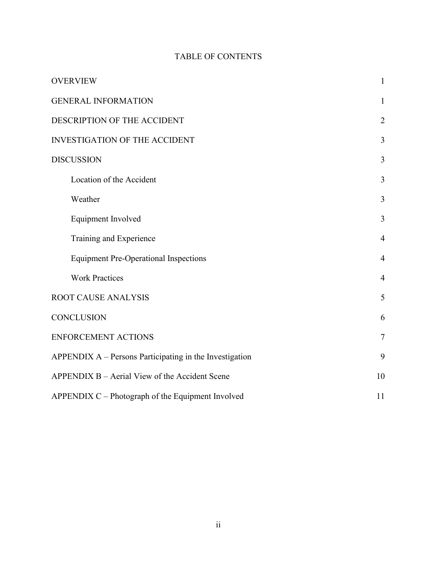# TABLE OF CONTENTS

| <b>OVERVIEW</b>                                         | $\mathbf{1}$   |
|---------------------------------------------------------|----------------|
| <b>GENERAL INFORMATION</b>                              | $\mathbf{1}$   |
| DESCRIPTION OF THE ACCIDENT                             | $\overline{2}$ |
| <b>INVESTIGATION OF THE ACCIDENT</b>                    | 3              |
| <b>DISCUSSION</b>                                       | 3              |
| Location of the Accident                                | $\overline{3}$ |
| Weather                                                 | 3              |
| Equipment Involved                                      | 3              |
| Training and Experience                                 | $\overline{4}$ |
| <b>Equipment Pre-Operational Inspections</b>            | $\overline{4}$ |
| <b>Work Practices</b>                                   | 4              |
| <b>ROOT CAUSE ANALYSIS</b>                              | 5              |
| <b>CONCLUSION</b>                                       | 6              |
| <b>ENFORCEMENT ACTIONS</b>                              | $\overline{7}$ |
| APPENDIX A - Persons Participating in the Investigation | 9              |
| APPENDIX B - Aerial View of the Accident Scene          | 10             |
| APPENDIX C - Photograph of the Equipment Involved       | 11             |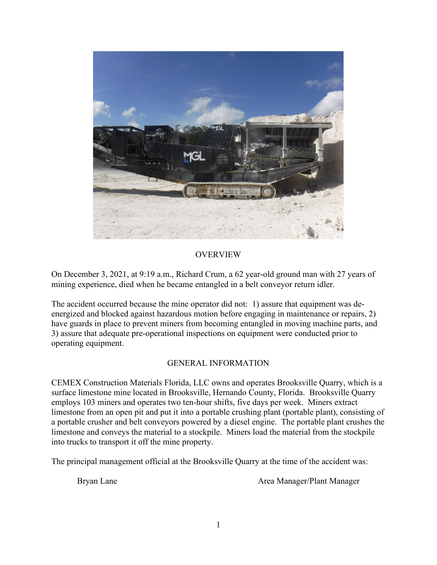

# OVERVIEW

On December 3, 2021, at 9:19 a.m., Richard Crum, a 62 year-old ground man with 27 years of mining experience, died when he became entangled in a belt conveyor return idler.

The accident occurred because the mine operator did not: 1) assure that equipment was deenergized and blocked against hazardous motion before engaging in maintenance or repairs, 2) have guards in place to prevent miners from becoming entangled in moving machine parts, and 3) assure that adequate pre-operational inspections on equipment were conducted prior to operating equipment.

# GENERAL INFORMATION

CEMEX Construction Materials Florida, LLC owns and operates Brooksville Quarry, which is a surface limestone mine located in Brooksville, Hernando County, Florida. Brooksville Quarry employs 103 miners and operates two ten-hour shifts, five days per week. Miners extract limestone from an open pit and put it into a portable crushing plant (portable plant), consisting of a portable crusher and belt conveyors powered by a diesel engine. The portable plant crushes the limestone and conveys the material to a stockpile. Miners load the material from the stockpile into trucks to transport it off the mine property.

The principal management official at the Brooksville Quarry at the time of the accident was:

Bryan Lane **Area Manager/Plant Manager**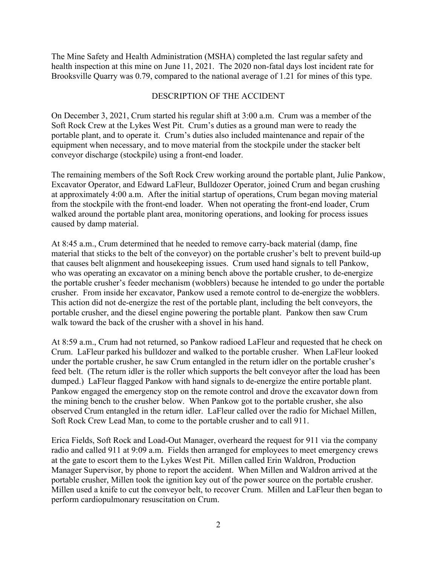The Mine Safety and Health Administration (MSHA) completed the last regular safety and health inspection at this mine on June 11, 2021. The 2020 non-fatal days lost incident rate for Brooksville Quarry was 0.79, compared to the national average of 1.21 for mines of this type.

### DESCRIPTION OF THE ACCIDENT

On December 3, 2021, Crum started his regular shift at 3:00 a.m. Crum was a member of the Soft Rock Crew at the Lykes West Pit. Crum's duties as a ground man were to ready the portable plant, and to operate it. Crum's duties also included maintenance and repair of the equipment when necessary, and to move material from the stockpile under the stacker belt conveyor discharge (stockpile) using a front-end loader.

The remaining members of the Soft Rock Crew working around the portable plant, Julie Pankow, Excavator Operator, and Edward LaFleur, Bulldozer Operator, joined Crum and began crushing at approximately 4:00 a.m. After the initial startup of operations, Crum began moving material from the stockpile with the front-end loader. When not operating the front-end loader, Crum walked around the portable plant area, monitoring operations, and looking for process issues caused by damp material.

At 8:45 a.m., Crum determined that he needed to remove carry-back material (damp, fine material that sticks to the belt of the conveyor) on the portable crusher's belt to prevent build-up that causes belt alignment and housekeeping issues. Crum used hand signals to tell Pankow, who was operating an excavator on a mining bench above the portable crusher, to de-energize the portable crusher's feeder mechanism (wobblers) because he intended to go under the portable crusher. From inside her excavator, Pankow used a remote control to de-energize the wobblers. This action did not de-energize the rest of the portable plant, including the belt conveyors, the portable crusher, and the diesel engine powering the portable plant. Pankow then saw Crum walk toward the back of the crusher with a shovel in his hand.

At 8:59 a.m., Crum had not returned, so Pankow radioed LaFleur and requested that he check on Crum. LaFleur parked his bulldozer and walked to the portable crusher. When LaFleur looked under the portable crusher, he saw Crum entangled in the return idler on the portable crusher's feed belt. (The return idler is the roller which supports the belt conveyor after the load has been dumped.) LaFleur flagged Pankow with hand signals to de-energize the entire portable plant. Pankow engaged the emergency stop on the remote control and drove the excavator down from the mining bench to the crusher below. When Pankow got to the portable crusher, she also observed Crum entangled in the return idler. LaFleur called over the radio for Michael Millen, Soft Rock Crew Lead Man, to come to the portable crusher and to call 911.

Erica Fields, Soft Rock and Load-Out Manager, overheard the request for 911 via the company radio and called 911 at 9:09 a.m. Fields then arranged for employees to meet emergency crews at the gate to escort them to the Lykes West Pit. Millen called Erin Waldron, Production Manager Supervisor, by phone to report the accident. When Millen and Waldron arrived at the portable crusher, Millen took the ignition key out of the power source on the portable crusher. Millen used a knife to cut the conveyor belt, to recover Crum. Millen and LaFleur then began to perform cardiopulmonary resuscitation on Crum.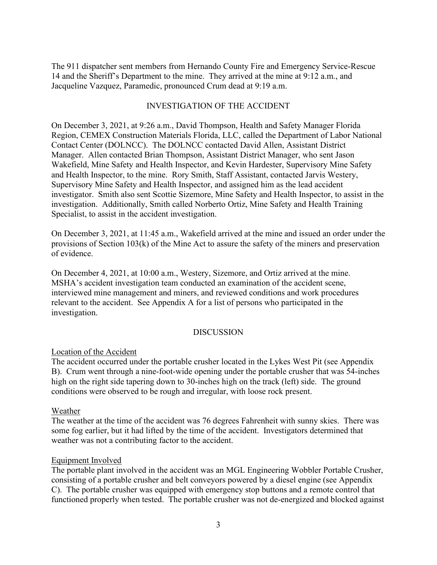The 911 dispatcher sent members from Hernando County Fire and Emergency Service-Rescue 14 and the Sheriff's Department to the mine. They arrived at the mine at 9:12 a.m., and Jacqueline Vazquez, Paramedic, pronounced Crum dead at 9:19 a.m.

## INVESTIGATION OF THE ACCIDENT

On December 3, 2021, at 9:26 a.m., David Thompson, Health and Safety Manager Florida Region, CEMEX Construction Materials Florida, LLC, called the Department of Labor National Contact Center (DOLNCC). The DOLNCC contacted David Allen, Assistant District Manager. Allen contacted Brian Thompson, Assistant District Manager, who sent Jason Wakefield, Mine Safety and Health Inspector, and Kevin Hardester, Supervisory Mine Safety and Health Inspector, to the mine. Rory Smith, Staff Assistant, contacted Jarvis Westery, Supervisory Mine Safety and Health Inspector, and assigned him as the lead accident investigator. Smith also sent Scottie Sizemore, Mine Safety and Health Inspector, to assist in the investigation. Additionally, Smith called Norberto Ortiz, Mine Safety and Health Training Specialist, to assist in the accident investigation.

On December 3, 2021, at 11:45 a.m., Wakefield arrived at the mine and issued an order under the provisions of Section 103(k) of the Mine Act to assure the safety of the miners and preservation of evidence.

On December 4, 2021, at 10:00 a.m., Westery, Sizemore, and Ortiz arrived at the mine. MSHA's accident investigation team conducted an examination of the accident scene, interviewed mine management and miners, and reviewed conditions and work procedures relevant to the accident. See Appendix A for a list of persons who participated in the investigation.

## DISCUSSION

## Location of the Accident

The accident occurred under the portable crusher located in the Lykes West Pit (see Appendix B). Crum went through a nine-foot-wide opening under the portable crusher that was 54-inches high on the right side tapering down to 30-inches high on the track (left) side. The ground conditions were observed to be rough and irregular, with loose rock present.

## Weather

The weather at the time of the accident was 76 degrees Fahrenheit with sunny skies. There was some fog earlier, but it had lifted by the time of the accident. Investigators determined that weather was not a contributing factor to the accident.

#### Equipment Involved

The portable plant involved in the accident was an MGL Engineering Wobbler Portable Crusher, consisting of a portable crusher and belt conveyors powered by a diesel engine (see Appendix C). The portable crusher was equipped with emergency stop buttons and a remote control that functioned properly when tested. The portable crusher was not de-energized and blocked against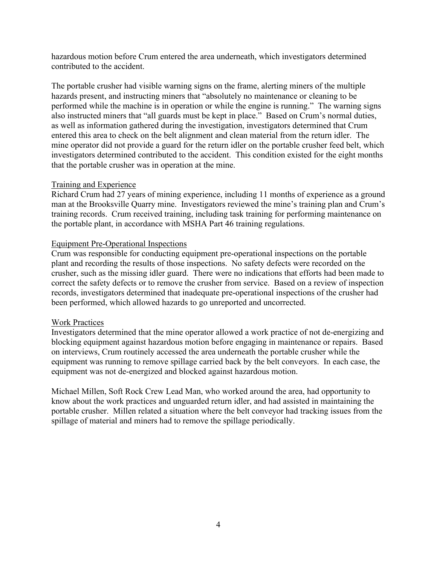hazardous motion before Crum entered the area underneath, which investigators determined contributed to the accident.

The portable crusher had visible warning signs on the frame, alerting miners of the multiple hazards present, and instructing miners that "absolutely no maintenance or cleaning to be performed while the machine is in operation or while the engine is running." The warning signs also instructed miners that "all guards must be kept in place." Based on Crum's normal duties, as well as information gathered during the investigation, investigators determined that Crum entered this area to check on the belt alignment and clean material from the return idler. The mine operator did not provide a guard for the return idler on the portable crusher feed belt, which investigators determined contributed to the accident. This condition existed for the eight months that the portable crusher was in operation at the mine.

# Training and Experience

Richard Crum had 27 years of mining experience, including 11 months of experience as a ground man at the Brooksville Quarry mine. Investigators reviewed the mine's training plan and Crum's training records. Crum received training, including task training for performing maintenance on the portable plant, in accordance with MSHA Part 46 training regulations.

# Equipment Pre-Operational Inspections

Crum was responsible for conducting equipment pre-operational inspections on the portable plant and recording the results of those inspections. No safety defects were recorded on the crusher, such as the missing idler guard. There were no indications that efforts had been made to correct the safety defects or to remove the crusher from service. Based on a review of inspection records, investigators determined that inadequate pre-operational inspections of the crusher had been performed, which allowed hazards to go unreported and uncorrected.

## Work Practices

Investigators determined that the mine operator allowed a work practice of not de-energizing and blocking equipment against hazardous motion before engaging in maintenance or repairs. Based on interviews, Crum routinely accessed the area underneath the portable crusher while the equipment was running to remove spillage carried back by the belt conveyors. In each case, the equipment was not de-energized and blocked against hazardous motion.

Michael Millen, Soft Rock Crew Lead Man, who worked around the area, had opportunity to know about the work practices and unguarded return idler, and had assisted in maintaining the portable crusher. Millen related a situation where the belt conveyor had tracking issues from the spillage of material and miners had to remove the spillage periodically.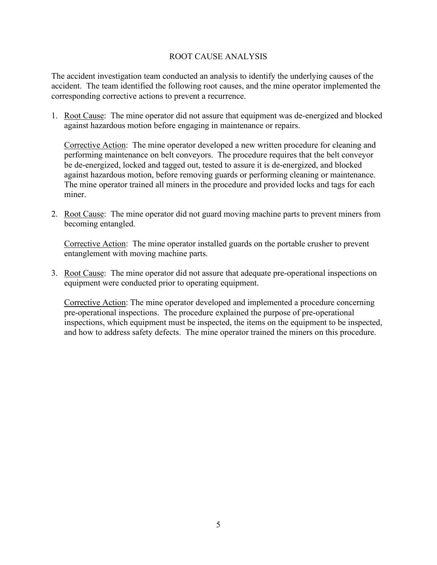# ROOT CAUSE ANALYSIS

The accident investigation team conducted an analysis to identify the underlying causes of the accident. The team identified the following root causes, and the mine operator implemented the corresponding corrective actions to prevent a recurrence.

1. Root Cause: The mine operator did not assure that equipment was de-energized and blocked against hazardous motion before engaging in maintenance or repairs.

Corrective Action: The mine operator developed a new written procedure for cleaning and performing maintenance on belt conveyors. The procedure requires that the belt conveyor be de-energized, locked and tagged out, tested to assure it is de-energized, and blocked against hazardous motion, before removing guards or performing cleaning or maintenance. The mine operator trained all miners in the procedure and provided locks and tags for each miner.

2. Root Cause: The mine operator did not guard moving machine parts to prevent miners from becoming entangled.

Corrective Action: The mine operator installed guards on the portable crusher to prevent entanglement with moving machine parts.

3. Root Cause: The mine operator did not assure that adequate pre-operational inspections on equipment were conducted prior to operating equipment.

Corrective Action: The mine operator developed and implemented a procedure concerning pre-operational inspections. The procedure explained the purpose of pre-operational inspections, which equipment must be inspected, the items on the equipment to be inspected, and how to address safety defects. The mine operator trained the miners on this procedure.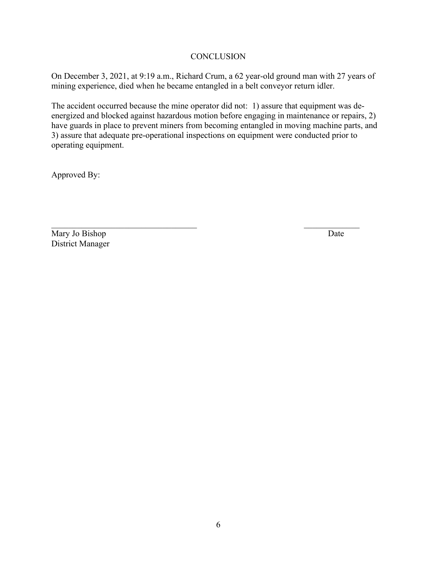# **CONCLUSION**

On December 3, 2021, at 9:19 a.m., Richard Crum, a 62 year-old ground man with 27 years of mining experience, died when he became entangled in a belt conveyor return idler.

The accident occurred because the mine operator did not: 1) assure that equipment was deenergized and blocked against hazardous motion before engaging in maintenance or repairs, 2) have guards in place to prevent miners from becoming entangled in moving machine parts, and 3) assure that adequate pre-operational inspections on equipment were conducted prior to operating equipment.

Approved By:

Mary Jo Bishop Date District Manager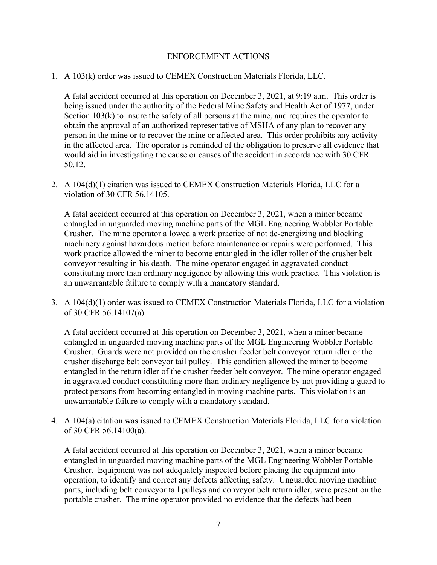### ENFORCEMENT ACTIONS

1. A 103(k) order was issued to CEMEX Construction Materials Florida, LLC.

A fatal accident occurred at this operation on December 3, 2021, at 9:19 a.m. This order is being issued under the authority of the Federal Mine Safety and Health Act of 1977, under Section 103(k) to insure the safety of all persons at the mine, and requires the operator to obtain the approval of an authorized representative of MSHA of any plan to recover any person in the mine or to recover the mine or affected area. This order prohibits any activity in the affected area. The operator is reminded of the obligation to preserve all evidence that would aid in investigating the cause or causes of the accident in accordance with 30 CFR 50.12.

2. A 104(d)(1) citation was issued to CEMEX Construction Materials Florida, LLC for a violation of 30 CFR 56.14105.

A fatal accident occurred at this operation on December 3, 2021, when a miner became entangled in unguarded moving machine parts of the MGL Engineering Wobbler Portable Crusher. The mine operator allowed a work practice of not de-energizing and blocking machinery against hazardous motion before maintenance or repairs were performed. This work practice allowed the miner to become entangled in the idler roller of the crusher belt conveyor resulting in his death. The mine operator engaged in aggravated conduct constituting more than ordinary negligence by allowing this work practice. This violation is an unwarrantable failure to comply with a mandatory standard.

3. A 104(d)(1) order was issued to CEMEX Construction Materials Florida, LLC for a violation of 30 CFR 56.14107(a).

A fatal accident occurred at this operation on December 3, 2021, when a miner became entangled in unguarded moving machine parts of the MGL Engineering Wobbler Portable Crusher. Guards were not provided on the crusher feeder belt conveyor return idler or the crusher discharge belt conveyor tail pulley. This condition allowed the miner to become entangled in the return idler of the crusher feeder belt conveyor. The mine operator engaged in aggravated conduct constituting more than ordinary negligence by not providing a guard to protect persons from becoming entangled in moving machine parts. This violation is an unwarrantable failure to comply with a mandatory standard.

4. A 104(a) citation was issued to CEMEX Construction Materials Florida, LLC for a violation of 30 CFR 56.14100(a).

A fatal accident occurred at this operation on December 3, 2021, when a miner became entangled in unguarded moving machine parts of the MGL Engineering Wobbler Portable Crusher. Equipment was not adequately inspected before placing the equipment into operation, to identify and correct any defects affecting safety. Unguarded moving machine parts, including belt conveyor tail pulleys and conveyor belt return idler, were present on the portable crusher. The mine operator provided no evidence that the defects had been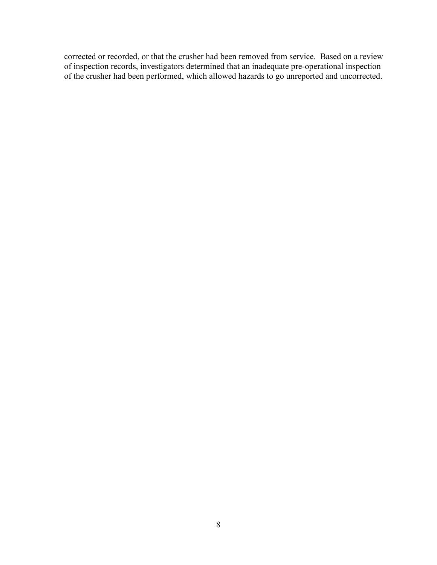corrected or recorded, or that the crusher had been removed from service. Based on a review of inspection records, investigators determined that an inadequate pre-operational inspection of the crusher had been performed, which allowed hazards to go unreported and uncorrected.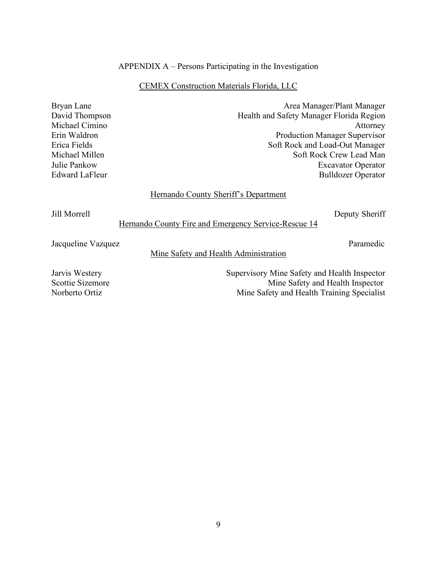#### APPENDIX A – Persons Participating in the Investigation

#### CEMEX Construction Materials Florida, LLC

Bryan Lane **Area Manager/Plant Manager** David Thompson **Health and Safety Manager Florida Region** Michael Cimino Attorney Erin Waldron Production Manager Supervisor Erica Fields Soft Rock and Load-Out Manager Michael Millen Soft Rock Crew Lead Man Julie Pankow Excavator Operator Edward LaFleur Bulldozer Operator

#### Hernando County Sheriff's Department

Jill Morrell Deputy Sheriff

#### Hernando County Fire and Emergency Service-Rescue 14

Jacqueline Vazquez Paramedic

Mine Safety and Health Administration

Jarvis Westery Supervisory Mine Safety and Health Inspector Scottie Sizemore Mine Safety and Health Inspector Norberto Ortiz Mine Safety and Health Training Specialist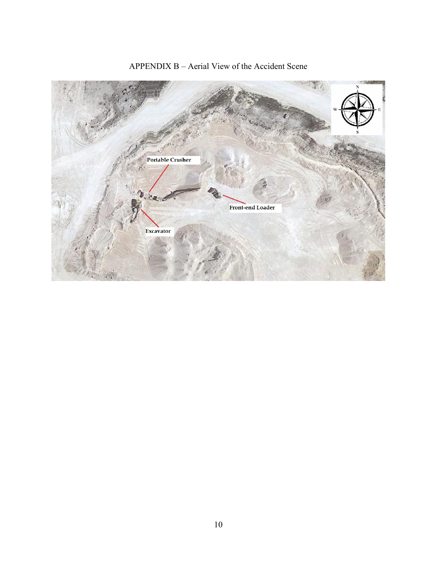

# APPENDIX B – Aerial View of the Accident Scene